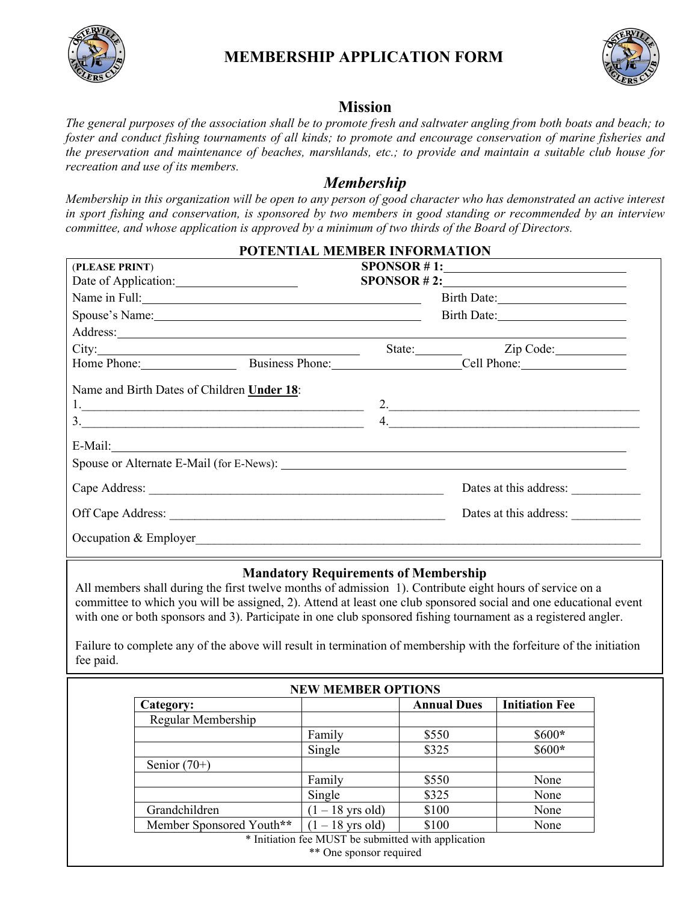

## **MEMBERSHIP APPLICATION FORM**



## **Mission**

*The general purposes of the association shall be to promote fresh and saltwater angling from both boats and beach; to foster and conduct fishing tournaments of all kinds; to promote and encourage conservation of marine fisheries and the preservation and maintenance of beaches, marshlands, etc.; to provide and maintain a suitable club house for recreation and use of its members.*

## *Membership*

*Membership in this organization will be open to any person of good character who has demonstrated an active interest in sport fishing and conservation, is sponsored by two members in good standing or recommended by an interview committee, and whose application is approved by a minimum of two thirds of the Board of Directors.*

|                                                                                                                                                                                                                               | POTENTIAL MEMBER INFORMATION |                                                                                                                                                                                                                                |
|-------------------------------------------------------------------------------------------------------------------------------------------------------------------------------------------------------------------------------|------------------------------|--------------------------------------------------------------------------------------------------------------------------------------------------------------------------------------------------------------------------------|
| (PLEASE PRINT)                                                                                                                                                                                                                |                              | SPONSOR # 1:                                                                                                                                                                                                                   |
|                                                                                                                                                                                                                               |                              | SPONSOR # 2:                                                                                                                                                                                                                   |
|                                                                                                                                                                                                                               |                              |                                                                                                                                                                                                                                |
| Spouse's Name: Note and the set of the set of the set of the set of the set of the set of the set of the set of the set of the set of the set of the set of the set of the set of the set of the set of the set of the set of |                              |                                                                                                                                                                                                                                |
|                                                                                                                                                                                                                               |                              | Address: and the contract of the contract of the contract of the contract of the contract of the contract of the contract of the contract of the contract of the contract of the contract of the contract of the contract of t |
|                                                                                                                                                                                                                               |                              | State: <u>Zip Code:</u>                                                                                                                                                                                                        |
|                                                                                                                                                                                                                               |                              | Home Phone: Business Phone: Cell Phone:                                                                                                                                                                                        |
| Name and Birth Dates of Children Under 18:                                                                                                                                                                                    |                              |                                                                                                                                                                                                                                |
|                                                                                                                                                                                                                               |                              |                                                                                                                                                                                                                                |
|                                                                                                                                                                                                                               |                              |                                                                                                                                                                                                                                |
|                                                                                                                                                                                                                               |                              | Dates at this address:                                                                                                                                                                                                         |
|                                                                                                                                                                                                                               |                              | Dates at this address:                                                                                                                                                                                                         |
| Occupation & Employer                                                                                                                                                                                                         |                              |                                                                                                                                                                                                                                |

## **Mandatory Requirements of Membership**

All members shall during the first twelve months of admission 1). Contribute eight hours of service on a committee to which you will be assigned, 2). Attend at least one club sponsored social and one educational event with one or both sponsors and 3). Participate in one club sponsored fishing tournament as a registered angler.

Failure to complete any of the above will result in termination of membership with the forfeiture of the initiation fee paid.

| Category:                |                    | <b>Annual Dues</b> | <b>Initiation Fee</b> |
|--------------------------|--------------------|--------------------|-----------------------|
| Regular Membership       |                    |                    |                       |
|                          | Family             | \$550              | $$600*$               |
|                          | Single             | \$325              | $$600*$               |
| Senior $(70+)$           |                    |                    |                       |
|                          | Family             | \$550              | None                  |
|                          | Single             | \$325              | None                  |
| Grandchildren            | $(1 - 18$ yrs old) | \$100              | None                  |
| Member Sponsored Youth** | $(1 - 18$ yrs old) | \$100              | None                  |

 OAC *Phone:* 508.420.4336 [oac@ostervilleanglersclub.com](mailto:oac@ostervilleanglersclub.com) www.ostervilleanglersclub.com \*\* One sponsor required